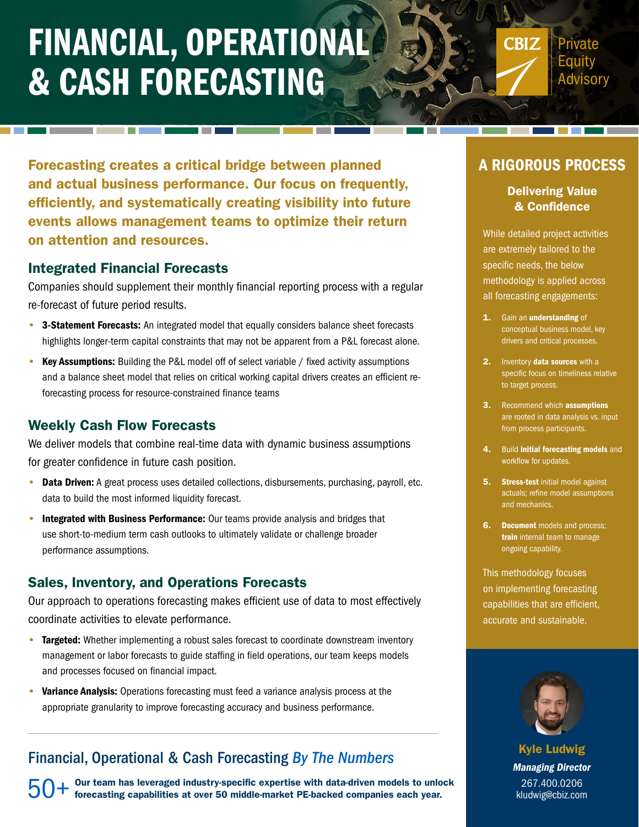# FINANCIAL, OPERATIONAL & CASH FORECASTING

**CBIZ** Private Eauitv **dvisory** 

Forecasting creates a critical bridge between planned and actual business performance. Our focus on frequently, efficiently, and systematically creating visibility into future events allows management teams to optimize their return on attention and resources.

#### Integrated Financial Forecasts

Companies should supplement their monthly financial reporting process with a regular re-forecast of future period results.

- 3-Statement Forecasts: An integrated model that equally considers balance sheet forecasts highlights longer-term capital constraints that may not be apparent from a P&L forecast alone.
- Key Assumptions: Building the P&L model off of select variable / fixed activity assumptions and a balance sheet model that relies on critical working capital drivers creates an efficient reforecasting process for resource-constrained finance teams

### Weekly Cash Flow Forecasts

We deliver models that combine real-time data with dynamic business assumptions for greater confidence in future cash position.

- Data Driven: A great process uses detailed collections, disbursements, purchasing, payroll, etc. data to build the most informed liquidity forecast.
- Integrated with Business Performance: Our teams provide analysis and bridges that use short-to-medium term cash outlooks to ultimately validate or challenge broader performance assumptions.

### Sales, Inventory, and Operations Forecasts

Our approach to operations forecasting makes efficient use of data to most effectively coordinate activities to elevate performance.

- Targeted: Whether implementing a robust sales forecast to coordinate downstream inventory management or labor forecasts to guide staffing in field operations, our team keeps models and processes focused on financial impact.
- Variance Analysis: Operations forecasting must feed a variance analysis process at the appropriate granularity to improve forecasting accuracy and business performance.

## Financial, Operational & Cash Forecasting *By The Numbers*

 $50+$  <sup>Our</sup> team has leveraged industry-specific expertise with data-driven models to unlock<br>forecasting capabilities at over 50 middle-market PE-backed companies each year. forecasting capabilities at over 50 middle-market PE-backed companies each year.

## A RIGOROUS PROCESS

#### Delivering Value & Confidence

While detailed project activities are extremely tailored to the specific needs, the below methodology is applied across all forecasting engagements:

- 1. Gain an understanding of conceptual business model, key drivers and critical processes.
- 2. Inventory data sources with a specific focus on timeliness relative to target process.
- **3.** Recommend which **assumptions** are rooted in data analysis vs. input from process participants.
- 4. Build initial forecasting models and workflow for updates.
- **5.** Stress-test initial model against actuals; refine model assumptions and mechanics.
- **6.** Document models and process; train internal team to manage ongoing capability.

This methodology focuses on implementing forecasting capabilities that are efficient, accurate and sustainable.



Kyle Ludwig *Managing Director* 267.400.0206 kludwig@cbiz.com